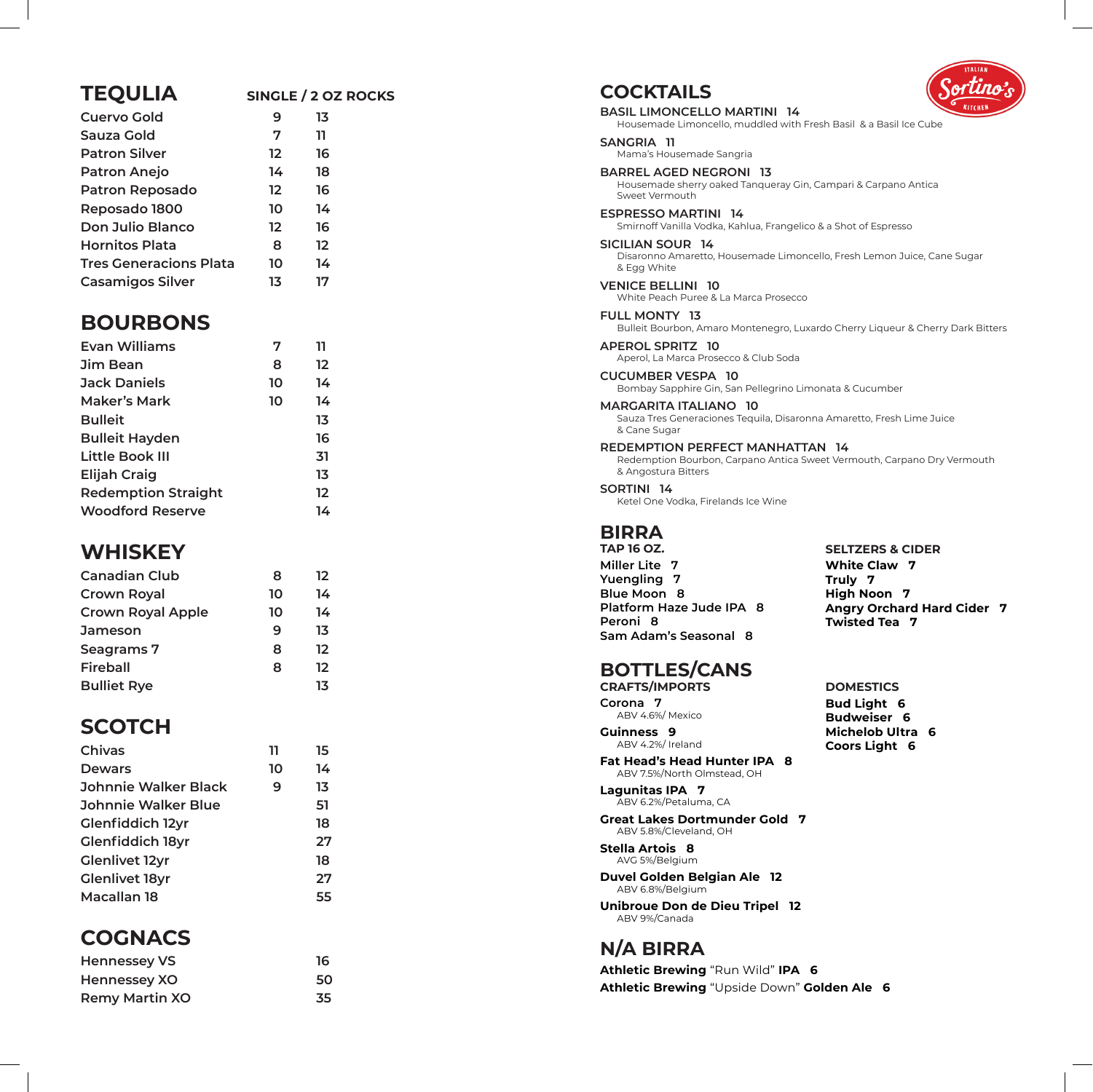#### **TEQULIA SINGLE / 2 OZ ROCKS**

| Cuervo Gold                   | 9                 | 13                |
|-------------------------------|-------------------|-------------------|
| Sauza Gold                    | 7                 | 11                |
| <b>Patron Silver</b>          | 12                | 16                |
| <b>Patron Anejo</b>           | 14                | 18                |
| <b>Patron Reposado</b>        | $12 \overline{ }$ | 16                |
| Reposado 1800                 | 10                | 14                |
| Don Julio Blanco              | 12                | 16                |
| <b>Hornitos Plata</b>         | 8                 | $12 \overline{ }$ |
| <b>Tres Generacions Plata</b> | 10                | 14                |
| <b>Casamigos Silver</b>       | 13                | 17                |
|                               |                   |                   |

#### **BOURBONS**

| Evan Williams              | 7  | 11 |
|----------------------------|----|----|
| Jim Bean                   | 8  | 12 |
| <b>Jack Daniels</b>        | 10 | 14 |
| Maker's Mark               | 10 | 14 |
| <b>Bulleit</b>             |    | 13 |
| <b>Bulleit Hayden</b>      |    | 16 |
| Little Book III            |    | 31 |
| <b>Elijah Craig</b>        |    | 13 |
| <b>Redemption Straight</b> |    | 12 |
| <b>Woodford Reserve</b>    |    | 14 |
|                            |    |    |

## **WHISKEY**

| 8  | 12 |
|----|----|
| 10 | 14 |
| 10 | 14 |
| 9  | 13 |
| 8  | 12 |
| 8  | 12 |
|    | 13 |
|    |    |

# **SCOTCH**

| Chivas                  | 11 | 15 |
|-------------------------|----|----|
| <b>Dewars</b>           | 10 | 14 |
| Johnnie Walker Black    | 9  | 13 |
| Johnnie Walker Blue     |    | 51 |
| <b>Glenfiddich 12yr</b> |    | 18 |
| <b>Glenfiddich 18yr</b> |    | 27 |
| <b>Glenlivet 12yr</b>   |    | 18 |
| <b>Glenlivet 18yr</b>   |    | 27 |
| Macallan 18             |    | 55 |
|                         |    |    |

## **COGNACS**

| <b>Hennessey VS</b>   | 16 |  |
|-----------------------|----|--|
| Hennessey XO          | 50 |  |
| <b>Remy Martin XO</b> | 35 |  |



**COCKTAILS BASIL LIMONCELLO MARTINI 14**  Housemade Limoncello, muddled with Fresh Basil & a Basil Ice Cube **SANGRIA 11**  Mama's Housemade Sangria **BARREL AGED NEGRONI 13**  Housemade sherry oaked Tanqueray Gin, Campari & Carpano Antica Sweet Vermouth **ESPRESSO MARTINI 14**  Smirnoff Vanilla Vodka, Kahlua, Frangelico & a Shot of Espresso **SICILIAN SOUR 14**  Disaronno Amaretto, Housemade Limoncello, Fresh Lemon Juice, Cane Sugar & Egg White **VENICE BELLINI 10**  White Peach Puree & La Marca Prosecco **FULL MONTY 13**  Bulleit Bourbon, Amaro Montenegro, Luxardo Cherry Liqueur & Cherry Dark Bitters **APEROL SPRITZ 10**  Aperol, La Marca Prosecco & Club Soda **CUCUMBER VESPA 10**  Bombay Sapphire Gin, San Pellegrino Limonata & Cucumber **MARGARITA ITALIANO 10**  Sauza Tres Generaciones Tequila, Disaronna Amaretto, Fresh Lime Juice & Cane Sugar **REDEMPTION PERFECT MANHATTAN 14**  Redemption Bourbon, Carpano Antica Sweet Vermouth, Carpano Dry Vermouth & Angostura Bitters **SORTINI 14**  Ketel One Vodka, Firelands Ice Wine **BIRRA TAP 16 OZ. Miller Lite 7 Yuengling 7 Blue Moon 8 Platform Haze Jude IPA 8 Peroni 8 Sam Adam's Seasonal 8 BOTTLES/CANS CRAFTS/IMPORTS Corona 7**  ABV 4.6%/ Mexico **SELTZERS & CIDER White Claw 7 Truly 7 High Noon 7 Angry Orchard Hard Cider 7 Twisted Tea 7 DOMESTICS Bud Light 6** 

**Guinness 9**  ABV 4.2%/ Ireland

**Fat Head's Head Hunter IPA 8**  ABV 7.5%/North Olmstead, OH

**Lagunitas IPA 7**  ABV 6.2%/Petaluma, CA

**Great Lakes Dortmunder Gold 7**  ABV 5.8%/Cleveland, OH

**Stella Artois 8**  AVG 5%/Belgium

**Duvel Golden Belgian Ale 12** ABV 6.8%/Belgium

**Unibroue Don de Dieu Tripel 12**  ABV 9%/Canada

# **N/A BIRRA**

**Athletic Brewing** "Run Wild" **IPA 6 Athletic Brewing** "Upside Down" **Golden Ale 6**

**Budweiser 6 Michelob Ultra 6 Coors Light 6**